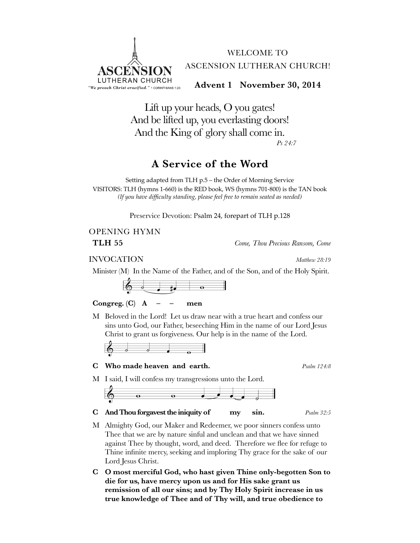

Lift up your heads, O you gates! And be lifted up, you everlasting doors! And the King of glory shall come in. *Ps 24:7*

### **A Service of the Word**

Setting adapted from TLH p.5 – the Order of Morning Service VISITORS: TLH (hymns 1-660) is the RED book, WS (hymns 701-800) is the TAN book *(If you have difficulty standing, please feel free to remain seated as needed)*

Preservice Devotion: Psalm 24, forepart of TLH p.128

# OPENING HYMN

**TLH 55** *Come, Thou Precious Ransom, Come*

INVOCATION *Matthew 28:19*

Minister (M) In the Name of the Father, and of the Son, and of the Holy Spirit.



### Congreg.  $(C)$  **A** – – men

M Beloved in the Lord! Let us draw near with a true heart and confess our sins unto God, our Father, beseeching Him in the name of our Lord Jesus Christ to grant us forgiveness. Our help is in the name of the Lord.



### **C Who made heaven and earth.** *Psalm 124:8*

M I said, I will confess my transgressions unto the Lord.



**C And Thou forgavest the iniquity of my sin.** *Psalm 32:5*

- M Almighty God, our Maker and Redeemer, we poor sinners confess unto Thee that we are by nature sinful and unclean and that we have sinned against Thee by thought, word, and deed. Therefore we flee for refuge to Thine infinite mercy, seeking and imploring Thy grace for the sake of our Lord Jesus Christ.
- **C O most merciful God, who hast given Thine only-begotten Son to die for us, have mercy upon us and for His sake grant us remission of all our sins; and by Thy Holy Spirit increase in us true knowledge of Thee and of Thy will, and true obedience to**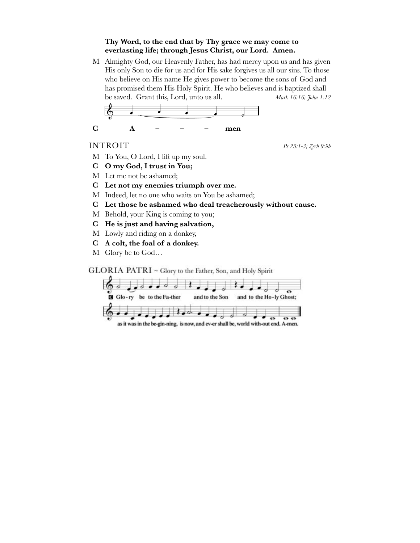### **Thy Word, to the end that by Thy grace we may come to everlasting life; through Jesus Christ, our Lord. Amen.**

M Almighty God, our Heavenly Father, has had mercy upon us and has given His only Son to die for us and for His sake forgives us all our sins. To those who believe on His name He gives power to become the sons of God and has promised them His Holy Spirit. He who believes and is baptized shall be saved. Grant this, Lord, unto us all. *Mark 16:16; John 1:12*

$$
\begin{array}{cccc}\n&\circ\\
&\circ\\
&\circ\\
&\circ\\
&\circ\\
&\circ\\
&\circ\n\end{array}
$$

INTROIT *Ps 25:1-3; Zech 9:9b*

- M To You, O Lord, I lift up my soul.
- **C O my God, I trust in You;**
- M Let me not be ashamed;
- **C Let not my enemies triumph over me.**
- M Indeed, let no one who waits on You be ashamed;
- **C Let those be ashamed who deal treacherously without cause.**
- M Behold, your King is coming to you;
- **C He is just and having salvation,**
- M Lowly and riding on a donkey,
- **C A colt, the foal of a donkey.**
- M Glory be to God…

GLORIA PATRI ~ Glory to the Father, Son, and Holy Spirit

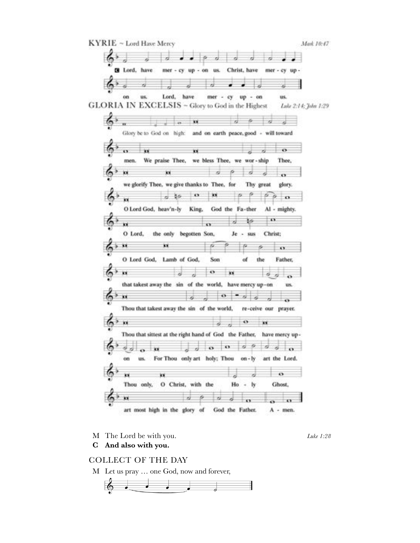

M The Lord be with you. *Luke 1:28*

**C And also with you.**

### COLLECT OF THE DAY

M Let us pray … one God, now and forever,

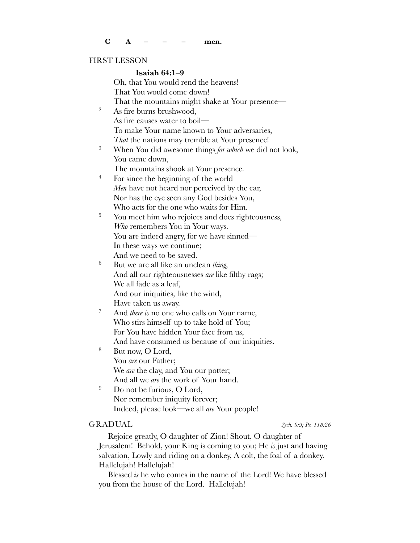### FIRST LESSON

### **Isaiah 64:1–9**

Oh, that You would rend the heavens! That You would come down! That the mountains might shake at Your presence— <sup>2</sup> As fire burns brushwood, As fire causes water to boil— To make Your name known to Your adversaries, *That* the nations may tremble at Your presence! <sup>3</sup> When You did awesome things *for which* we did not look, You came down, The mountains shook at Your presence. <sup>4</sup> For since the beginning of the world *Men* have not heard nor perceived by the ear, Nor has the eye seen any God besides You, Who acts for the one who waits for Him. <sup>5</sup> You meet him who rejoices and does righteousness, *Who* remembers You in Your ways. You are indeed angry, for we have sinned— In these ways we continue; And we need to be saved. <sup>6</sup> But we are all like an unclean *thing,* And all our righteousnesses *are* like filthy rags; We all fade as a leaf, And our iniquities, like the wind, Have taken us away. <sup>7</sup> And *there is* no one who calls on Your name, Who stirs himself up to take hold of You; For You have hidden Your face from us, And have consumed us because of our iniquities. <sup>8</sup> But now, O Lord, You *are* our Father; We *are* the clay, and You our potter;

And all we *are* the work of Your hand.

<sup>9</sup> Do not be furious, O Lord, Nor remember iniquity forever; Indeed, please look—we all *are* Your people!

### GRADUAL *Zech. 9:9; Ps. 118:26*

Rejoice greatly, O daughter of Zion! Shout, O daughter of Jerusalem! Behold, your King is coming to you; He *is* just and having salvation, Lowly and riding on a donkey, A colt, the foal of a donkey. Hallelujah! Hallelujah!

Blessed *is* he who comes in the name of the Lord! We have blessed you from the house of the Lord. Hallelujah!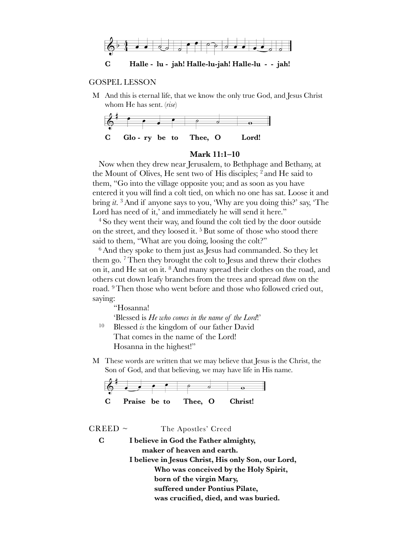

### GOSPEL LESSON

M And this is eternal life, that we know the only true God, and Jesus Christ whom He has sent. (*rise*)



### **Mark 11:1–10**

Now when they drew near Jerusalem, to Bethphage and Bethany, at the Mount of Olives, He sent two of His disciples; 2 and He said to them, "Go into the village opposite you; and as soon as you have entered it you will find a colt tied, on which no one has sat. Loose it and bring *it*. 3And if anyone says to you, 'Why are you doing this?' say, 'The Lord has need of it,' and immediately he will send it here."

<sup>4</sup> So they went their way, and found the colt tied by the door outside on the street, and they loosed it. 5 But some of those who stood there said to them, "What are you doing, loosing the colt?"

<sup>6</sup>And they spoke to them just as Jesus had commanded. So they let them go. 7Then they brought the colt to Jesus and threw their clothes on it, and He sat on it. 8And many spread their clothes on the road, and others cut down leafy branches from the trees and spread *them* on the road. <sup>9</sup>Then those who went before and those who followed cried out, saying:

"Hosanna! 'Blessed is *He who comes in the name of the Lord*!' <sup>10</sup> Blessed *is* the kingdom of our father David That comes in the name of the Lord! Hosanna in the highest!"

M These words are written that we may believe that Jesus is the Christ, the Son of God, and that believing, we may have life in His name.



 $CREED \sim$  The Apostles' Creed **C I believe in God the Father almighty, ! ! maker of heaven and earth. I believe in Jesus Christ, His only Son, our Lord, ! !! Who was conceived by the Holy Spirit, ! !! born of the virgin Mary, ! !! suffered under Pontius Pilate, ! !! was crucified, died, and was buried.**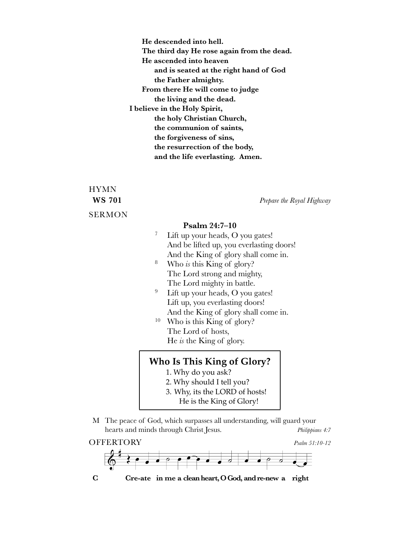**! ! He descended into hell. ! ! The third day He rose again from the dead. ! ! He ascended into heaven ! !! and is seated at the right hand of God ! !! the Father almighty. ! ! From there He will come to judge ! !! the living and the dead. I believe in the Holy Spirit, ! !! the holy Christian Church, ! !! the communion of saints, ! !! the forgiveness of sins, ! !! the resurrection of the body, ! ! !! and the life everlasting. Amen.**

## HYMN SERMON

**WS 701** *Prepare the Royal Highway*

### **Psalm 24:7–10**

|        | Lift up your heads, O you gates!         |
|--------|------------------------------------------|
|        | And be lifted up, you everlasting doors! |
|        | And the King of glory shall come in.     |
| $\sim$ |                                          |

- <sup>8</sup> Who *is* this King of glory? The Lord strong and mighty, The Lord mighty in battle.
- <sup>9</sup> Lift up your heads, O you gates! Lift up, you everlasting doors! And the King of glory shall come in.
- <sup>10</sup> Who is this King of glory? The Lord of hosts, He *is* the King of glory.

### **Who Is This King of Glory?**

- 1. Why do you ask?
- 2. Why should I tell you?
- 3. Why, its the LORD of hosts!
	- He is the King of Glory!
- M The peace of God, which surpasses all understanding, will guard your hearts and minds through Christ Jesus. *Philippians 4:7*



**C" " Cre-ate in me a clean heart, O God, and re-new a right**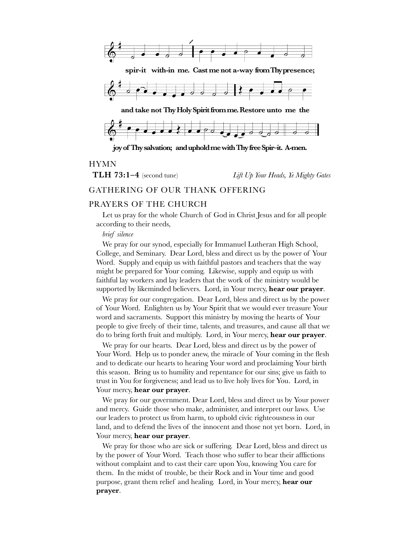

### HYMN

**TLH 73:1–4** (second tune) *Lift Up Your Heads, Ye Mighty Gates*

### GATHERING OF OUR THANK OFFERING

### PRAYERS OF THE CHURCH

Let us pray for the whole Church of God in Christ Jesus and for all people according to their needs,

### *brief silence*

We pray for our synod, especially for Immanuel Lutheran High School, College, and Seminary. Dear Lord, bless and direct us by the power of Your Word. Supply and equip us with faithful pastors and teachers that the way might be prepared for Your coming. Likewise, supply and equip us with faithful lay workers and lay leaders that the work of the ministry would be supported by likeminded believers. Lord, in Your mercy, **hear our prayer**.

We pray for our congregation. Dear Lord, bless and direct us by the power of Your Word. Enlighten us by Your Spirit that we would ever treasure Your word and sacraments. Support this ministry by moving the hearts of Your people to give freely of their time, talents, and treasures, and cause all that we do to bring forth fruit and multiply. Lord, in Your mercy, **hear our prayer**.

We pray for our hearts. Dear Lord, bless and direct us by the power of Your Word. Help us to ponder anew, the miracle of Your coming in the flesh and to dedicate our hearts to hearing Your word and proclaiming Your birth this season. Bring us to humility and repentance for our sins; give us faith to trust in You for forgiveness; and lead us to live holy lives for You. Lord, in Your mercy, **hear our prayer**.

We pray for our government. Dear Lord, bless and direct us by Your power and mercy. Guide those who make, administer, and interpret our laws. Use our leaders to protect us from harm, to uphold civic righteousness in our land, and to defend the lives of the innocent and those not yet born. Lord, in Your mercy, **hear our prayer**.

We pray for those who are sick or suffering. Dear Lord, bless and direct us by the power of Your Word. Teach those who suffer to bear their afflictions without complaint and to cast their care upon You, knowing You care for them. In the midst of trouble, be their Rock and in Your time and good purpose, grant them relief and healing. Lord, in Your mercy, **hear our prayer**.